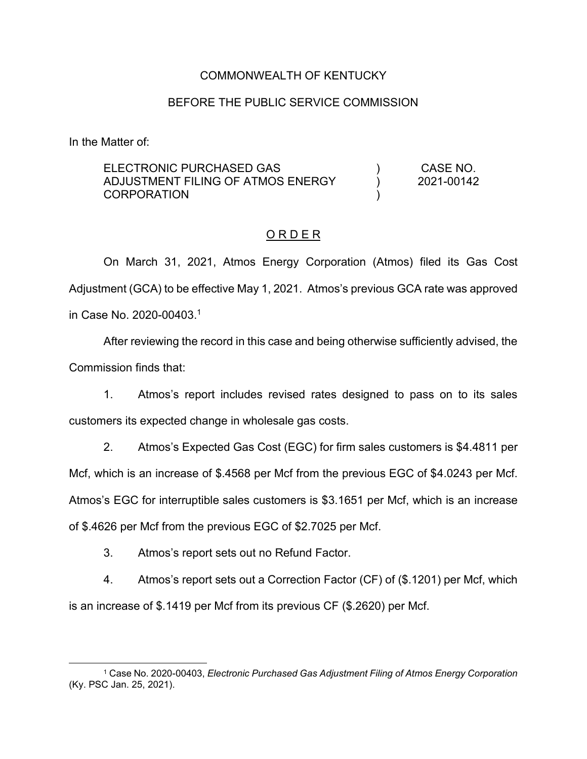## COMMONWEALTH OF KENTUCKY

### BEFORE THE PUBLIC SERVICE COMMISSION

In the Matter of:

ELECTRONIC PURCHASED GAS ADJUSTMENT FILING OF ATMOS ENERGY **CORPORATION** ) ) ) CASE NO. 2021-00142

#### O R D E R

On March 31, 2021, Atmos Energy Corporation (Atmos) filed its Gas Cost Adjustment (GCA) to be effective May 1, 2021. Atmos's previous GCA rate was approved in Case No. 2020-00403. 1

After reviewing the record in this case and being otherwise sufficiently advised, the Commission finds that:

1. Atmos's report includes revised rates designed to pass on to its sales customers its expected change in wholesale gas costs.

2. Atmos's Expected Gas Cost (EGC) for firm sales customers is \$4.4811 per Mcf, which is an increase of \$.4568 per Mcf from the previous EGC of \$4.0243 per Mcf. Atmos's EGC for interruptible sales customers is \$3.1651 per Mcf, which is an increase of \$.4626 per Mcf from the previous EGC of \$2.7025 per Mcf.

3. Atmos's report sets out no Refund Factor.

4. Atmos's report sets out a Correction Factor (CF) of (\$.1201) per Mcf, which is an increase of \$.1419 per Mcf from its previous CF (\$.2620) per Mcf.

<sup>1</sup> Case No. 2020-00403, *Electronic Purchased Gas Adjustment Filing of Atmos Energy Corporation* (Ky. PSC Jan. 25, 2021).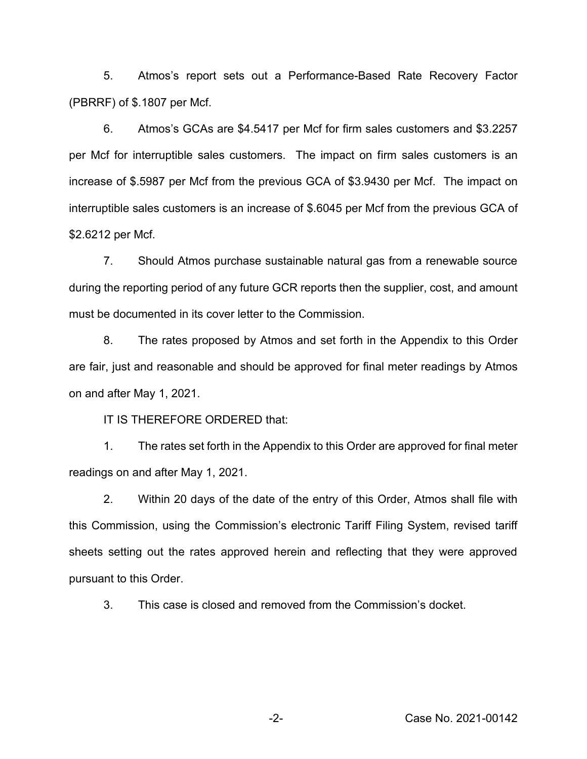5. Atmos's report sets out a Performance-Based Rate Recovery Factor (PBRRF) of \$.1807 per Mcf.

6. Atmos's GCAs are \$4.5417 per Mcf for firm sales customers and \$3.2257 per Mcf for interruptible sales customers. The impact on firm sales customers is an increase of \$.5987 per Mcf from the previous GCA of \$3.9430 per Mcf. The impact on interruptible sales customers is an increase of \$.6045 per Mcf from the previous GCA of \$2.6212 per Mcf.

7. Should Atmos purchase sustainable natural gas from a renewable source during the reporting period of any future GCR reports then the supplier, cost, and amount must be documented in its cover letter to the Commission.

8. The rates proposed by Atmos and set forth in the Appendix to this Order are fair, just and reasonable and should be approved for final meter readings by Atmos on and after May 1, 2021.

IT IS THEREFORE ORDERED that:

1. The rates set forth in the Appendix to this Order are approved for final meter readings on and after May 1, 2021.

2. Within 20 days of the date of the entry of this Order, Atmos shall file with this Commission, using the Commission's electronic Tariff Filing System, revised tariff sheets setting out the rates approved herein and reflecting that they were approved pursuant to this Order.

3. This case is closed and removed from the Commission's docket.

-2- Case No. 2021-00142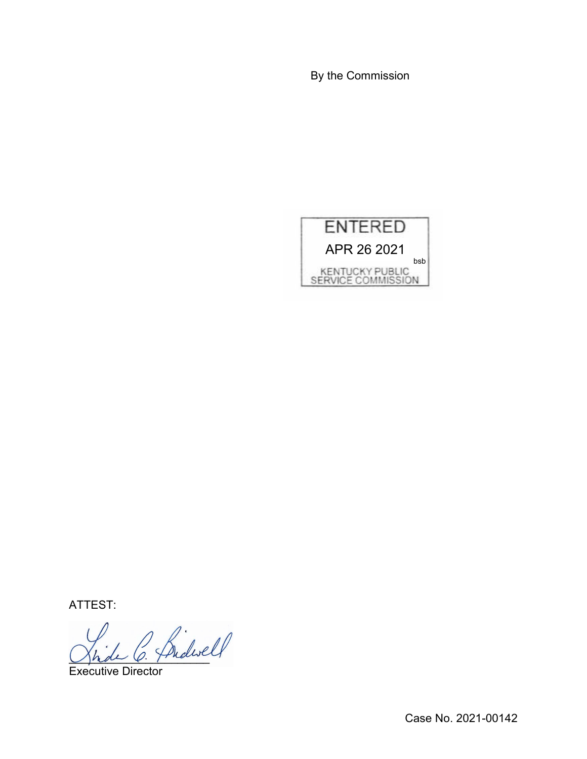By the Commission



ATTEST:

Shede O. Friday

Executive Director

Case No. 2021-00142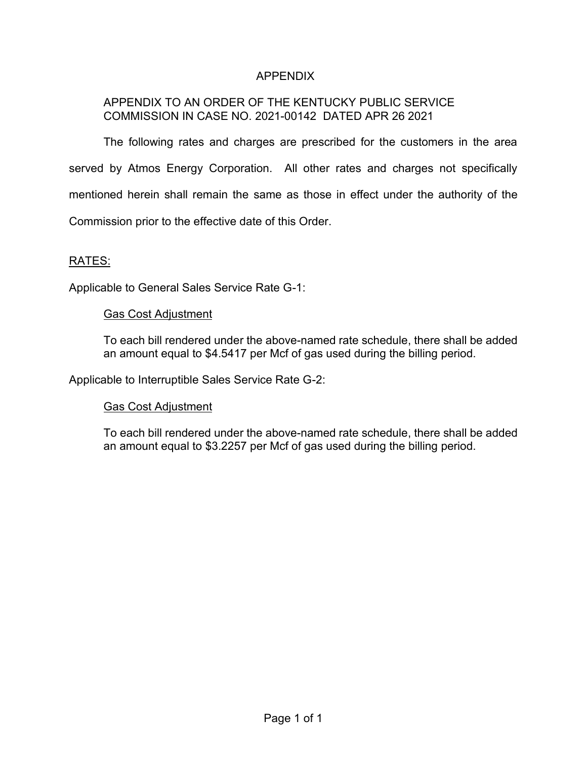# APPENDIX

# APPENDIX TO AN ORDER OF THE KENTUCKY PUBLIC SERVICE COMMISSION IN CASE NO. 2021-00142 DATED APR 26 2021

The following rates and charges are prescribed for the customers in the area served by Atmos Energy Corporation. All other rates and charges not specifically mentioned herein shall remain the same as those in effect under the authority of the Commission prior to the effective date of this Order.

### RATES:

Applicable to General Sales Service Rate G-1:

#### Gas Cost Adjustment

To each bill rendered under the above-named rate schedule, there shall be added an amount equal to \$4.5417 per Mcf of gas used during the billing period.

Applicable to Interruptible Sales Service Rate G-2:

## Gas Cost Adjustment

To each bill rendered under the above-named rate schedule, there shall be added an amount equal to \$3.2257 per Mcf of gas used during the billing period.